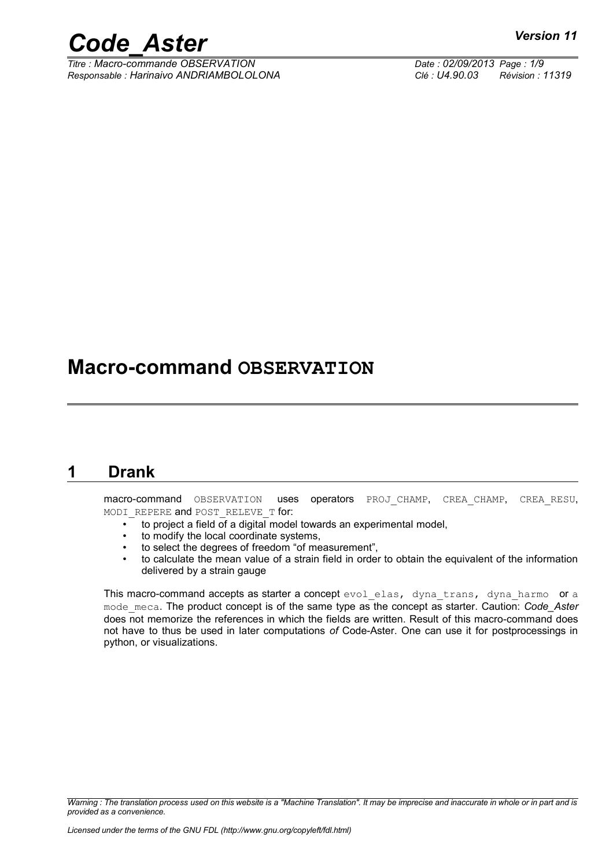*Titre : Macro-commande OBSERVATION Date : 02/09/2013 Page : 1/9 Responsable : Harinaivo ANDRIAMBOLOLONA Clé : U4.90.03 Révision : 11319*

### **Macro-command OBSERVATION**

#### **1 Drank**

<span id="page-0-0"></span>macro-command OBSERVATION uses operators PROJ CHAMP, CREA CHAMP, CREA RESU, MODI REPERE and POST RELEVE T for:

- to project a field of a digital model towards an experimental model,
- to modify the local coordinate systems,
- to select the degrees of freedom "of measurement",
- to calculate the mean value of a strain field in order to obtain the equivalent of the information delivered by a strain gauge

This macro-command accepts as starter a concept evol elas, dyna trans, dyna harmo or a mode\_meca. The product concept is of the same type as the concept as starter. Caution: *Code\_Aster* does not memorize the references in which the fields are written. Result of this macro-command does not have to thus be used in later computations *of* Code-Aster. One can use it for postprocessings in python, or visualizations.

*Warning : The translation process used on this website is a "Machine Translation". It may be imprecise and inaccurate in whole or in part and is provided as a convenience.*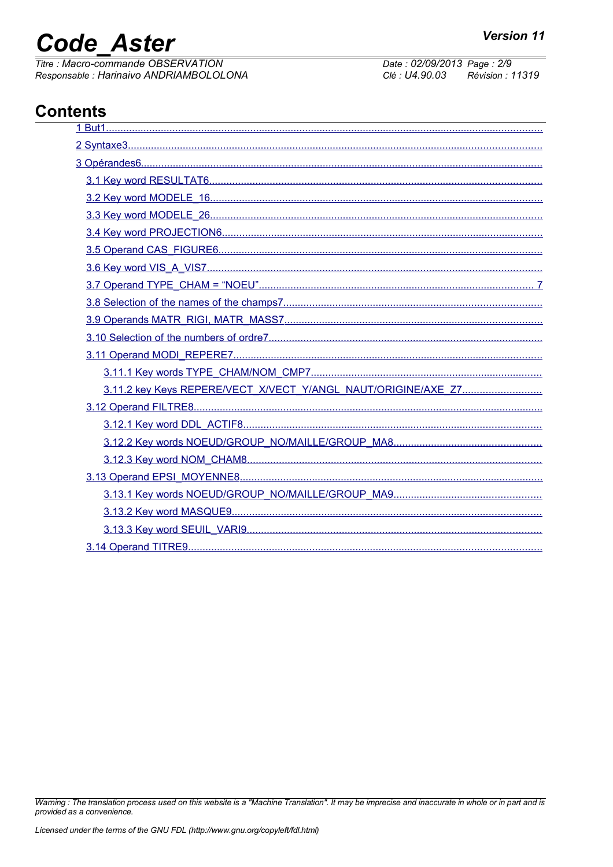# **Code Aster**

Titre : Macro-commande OBSERVATION Responsable : Harinaivo ANDRIAMBOLOLONA Date: 02/09/2013 Page: 2/9 Clé : U4.90.03 Révision : 11319

### **Contents**

| 3.11.2 key Keys REPERE/VECT_X/VECT_Y/ANGL_NAUT/ORIGINE/AXE_Z7 |  |
|---------------------------------------------------------------|--|
|                                                               |  |
|                                                               |  |
|                                                               |  |
|                                                               |  |
|                                                               |  |
|                                                               |  |
|                                                               |  |
|                                                               |  |
|                                                               |  |

Warning : The translation process used on this website is a "Machine Translation". It may be imprecise and inaccurate in whole or in part and is provided as a convenience.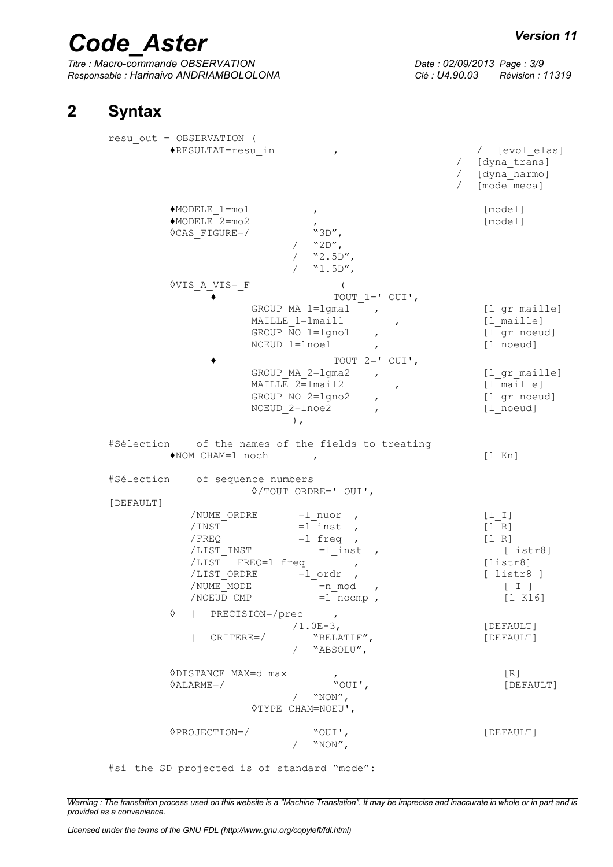# *Code\_Aster Version 11*<br> *Titre : Macro-commande OBSERVATION Date : 02/09/2013 Page : 3/9*

*Titre : Macro-commande OBSERVATION Date : 02/09/2013 Page : 3/9 Responsable : Harinaivo ANDRIAMBOLOLONA Clé : U4.90.03 Révision : 11319*

#### **2 Syntax**

<span id="page-2-0"></span>

| resu out = OBSERVATION (<br>◆RESULTAT=resu in                                                                                                                                                                                                                                                                                                  | / [evol elas]<br>/ [dyna trans]<br>/ [dyna_harmo]<br>$\sqrt{2}$<br>[mode meca]                                       |
|------------------------------------------------------------------------------------------------------------------------------------------------------------------------------------------------------------------------------------------------------------------------------------------------------------------------------------------------|----------------------------------------------------------------------------------------------------------------------|
| $MODELE$ 1=mo1<br>$\mathbf{r}$<br>◆MODELE 2=mo2<br><b>OCAS FIGURE=/</b><br>"3D",<br>"2D"<br>$"2.5D"$ ,<br>$"1.5D"$ ,                                                                                                                                                                                                                           | [model]<br>[model]                                                                                                   |
| VVIS A VIS= F<br>TOUT $1=$ OUI',<br>GROUP MA 1=1gma1<br>$\mathbf{r}$<br>MAILLE 1=1mail1<br>$\mathbf{r}$<br>GROUP NO 1=1gno1<br>$\mathbf{r}$<br>NOEUD 1=lnoe1<br>$\mathbf{r}$<br>TOUT $2=$ OUI',<br>GROUP MA 2=lgma2<br>$\mathbf{r}$<br>MAILLE 2=lmail2<br>$\mathbf{r}$<br>GROUP NO 2=lgno2<br>$\mathbf{r}$<br>NOEUD 2=lnoe2<br>$\,$ ,          | [1 gr maille]<br>[1 maille]<br>[1 gr noeud]<br>[1 noeud]<br>[1 gr maille]<br>[1 maille]<br>[1 gr noeud]<br>[1 noeud] |
| #Sélection of the names of the fields to treating<br>NOM CHAM=1 noch<br>#Sélection<br>of sequence numbers                                                                                                                                                                                                                                      | $[1$ Kn]                                                                                                             |
| $\Diamond$ /TOUT ORDRE=' OUI',<br>[DEFAULT]<br>/NUME ORDRE<br>$=1$ nuor,<br>$=1$ inst,<br>/INST<br>/ FREQ<br>$=1$ freq ,<br>$=1$ inst,<br>/LIST INST<br>/LIST_ FREQ=1_freq<br>$\pmb{r}$<br>/LIST ORDRE<br>$=1$ ordr<br>/NUME MODE<br>=n mod<br>$\pmb{r}$<br>$=1$ nocmp,<br>/NOEUD CMP<br>♦<br>PRECISION=/prec<br>$\overline{ }$<br>$/1.0E-3$ , | $[1 1]$<br>[1 R]<br>[1 R]<br>[liststr8]<br>[liststr8]<br>$[$ listr $8]$<br>[I]<br>$[1_K16]$<br>[DEFAULT]             |
| CRITERE=/<br>"RELATIF",<br>"ABSOLU",<br>$\sqrt{2}$                                                                                                                                                                                                                                                                                             | [DEFAULT]                                                                                                            |
| <b>◇DISTANCE MAX=d max</b><br>$\Diamond$ ALARME=/<br>"OUI',<br>"NON",<br><b>OTYPE CHAM=NOEU',</b>                                                                                                                                                                                                                                              | [R]<br>[DEFAULT]                                                                                                     |
| $\Diamond$ PROJECTION=/<br>"OUI',<br>"NON",                                                                                                                                                                                                                                                                                                    | [DEFAULT]                                                                                                            |

*Warning : The translation process used on this website is a "Machine Translation". It may be imprecise and inaccurate in whole or in part and is*

*provided as a convenience.*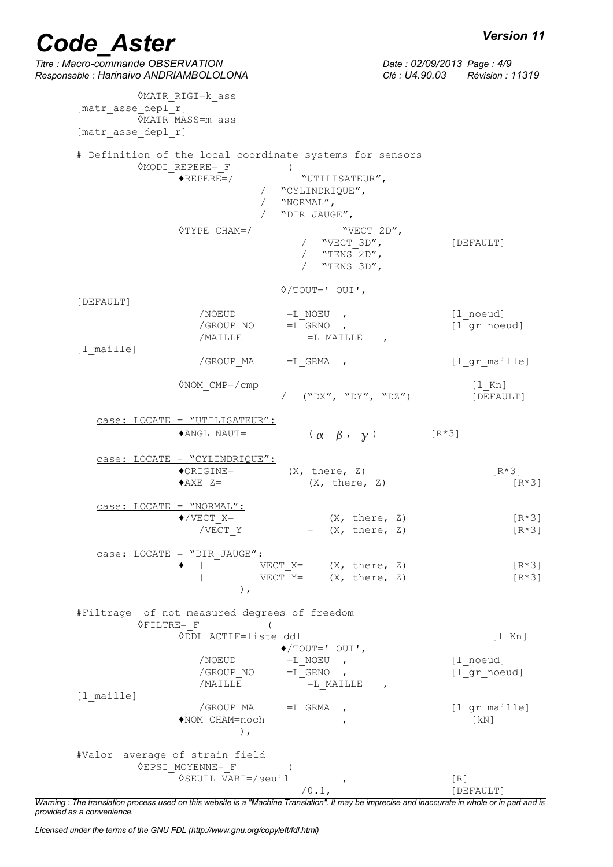| <b>Code Aster</b>                                                             |                                                                                              |                                                                                 | <b>Version 11</b>                                             |
|-------------------------------------------------------------------------------|----------------------------------------------------------------------------------------------|---------------------------------------------------------------------------------|---------------------------------------------------------------|
| Titre : Macro-commande OBSERVATION<br>Responsable : Harinaivo ANDRIAMBOLOLONA |                                                                                              |                                                                                 | Date: 02/09/2013 Page: 4/9<br>Clé : U4.90.03 Révision : 11319 |
| [matr asse depl r]<br>[matr asse depl r]                                      | OMATR RIGI=k ass<br><b>VMATR MASS=m_ass</b>                                                  |                                                                                 |                                                               |
|                                                                               |                                                                                              | # Definition of the local coordinate systems for sensors                        |                                                               |
|                                                                               | <b>OMODI REPERE= F</b><br>$\bigstar$ REPERE=/                                                | $\overline{ }$<br>"UTILISATEUR",<br>"CYLINDRIQUE",<br>"NORMAL",<br>"DIR JAUGE", |                                                               |
|                                                                               | $\Diamond$ TYPE CHAM=/                                                                       | "VECT 2D",<br>"VECT 3D",<br>"TENS 2D",<br>"TENS 3D",                            | [DEFAULT]                                                     |
|                                                                               |                                                                                              | $\Diamond$ /TOUT=' OUI',                                                        |                                                               |
| [DEFAULT]                                                                     | /NOEUD<br>/GROUP NO<br>/MAILLE                                                               | $=$ L NOEU ,<br>$=L$ GRNO,<br>$=L$ MAILLE ,                                     | [1 noeud]<br>[1 gr noeud]                                     |
| [1 maille]                                                                    | /GROUP MA                                                                                    | $=L$ GRMA ,                                                                     | [l gr maille]                                                 |
|                                                                               | $\Diamond NOM$ CMP=/cmp                                                                      | / ("DX", "DY", "DZ")                                                            | $[1$ Kn]<br>[DEFAULT]                                         |
|                                                                               | $case:$ LOCATE = "UTILISATEUR":                                                              |                                                                                 |                                                               |
|                                                                               | ◆ANGL NAUT=                                                                                  | $(\alpha \beta, \gamma)$                                                        | $[R*3]$                                                       |
|                                                                               | $case:$ LOCATE = "CYLINDRIQUE":<br>$\lozenge$ ORIGINE=<br>$\triangle AXE$ Z=                 | (X, there, Z)<br>(X, there, Z)                                                  | $[R*3]$<br>$[R*3]$                                            |
|                                                                               | $case:$ LOCATE = "NORMAL":<br>$\blacklozenge$ /VECT X=<br>/VECT Y                            | (X, there, Z)<br>$=$ $(X, there, Z)$                                            | $[R*3]$<br>$[R*3]$                                            |
|                                                                               | case: LOCATE = "DIR JAUGE":<br>$\,$ ,                                                        | VECT $X = (X, there, Z)$<br>VECT $Y = (X, there, Z)$                            | $[R*3]$<br>$[R*3]$                                            |
|                                                                               | #Filtrage of not measured degrees of freedom<br>$\Diamond$ FILTRE= F<br>ODDL ACTIF=liste ddl |                                                                                 | $[1$ Kn]                                                      |
|                                                                               | /NOEUD                                                                                       | $\blacklozenge$ /TOUT=' OUI',<br>$=L$ NOEU ,                                    | [1 noeud]                                                     |
|                                                                               | /GROUP_NO<br>/MAILLE                                                                         | $=L$ GRNO,<br>$=$ L MAILLE ,                                                    | [1 gr noeud]                                                  |
| $[1$ maille]                                                                  | ◆NOM CHAM=noch<br>$\,$ ,                                                                     | /GROUP $MA$ =L GRMA ,                                                           | [l gr maille]<br>[KN]                                         |
|                                                                               | #Valor average of strain field                                                               |                                                                                 |                                                               |
|                                                                               | <b>OEPSI MOYENNE= F</b><br><b>◊SEUIL VARI=/seuil</b>                                         | $\left($<br>$\mathbf{r}$<br>/0.1,                                               | [R]<br>[DEFAULT]                                              |

*Warning : The translation process used on this website is a "Machine Translation". It may be imprecise and inaccurate in whole or in part and is provided as a convenience.*

*Licensed under the terms of the GNU FDL (http://www.gnu.org/copyleft/fdl.html)*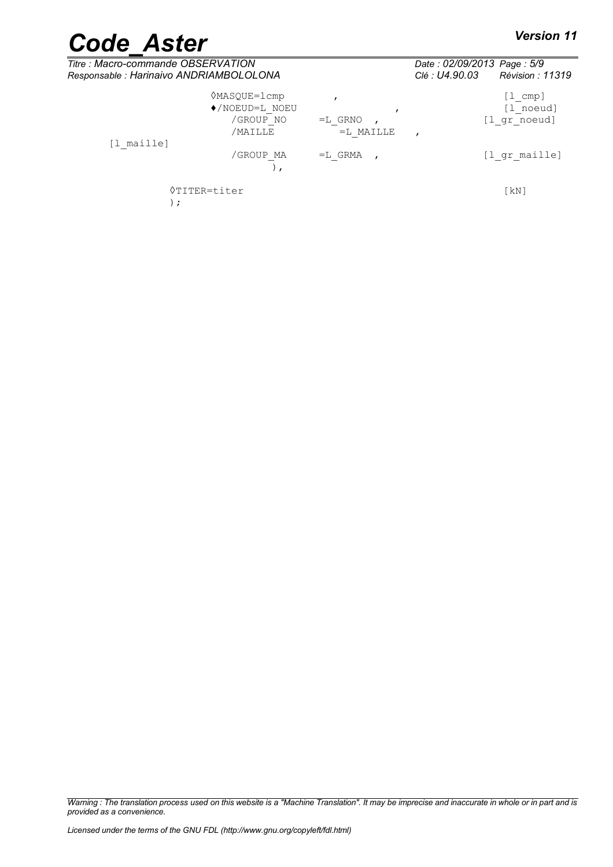# *Code\_Aster Version 11*<br> *Titre* : Macro-commande OBSERVATION

| Titre : Macro-commande OBSERVATION<br>Responsable : Harinaivo ANDRIAMBOLOLONA |                                                                              |                          | Date: 02/09/2013 Page: 5/9<br>Révision : 11319<br>Clé : U4.90.03 |  |
|-------------------------------------------------------------------------------|------------------------------------------------------------------------------|--------------------------|------------------------------------------------------------------|--|
|                                                                               | <b>◇MASQUE=1cmp</b><br>$\blacklozenge$ /NOEUD=L NOEU<br>/GROUP NO<br>/MAILLE | $=L$ GRNO<br>$=L$ MAILLE | [l cmp]<br>[l noeud]<br>[l gr noeud]                             |  |
| [l maille]                                                                    | /GROUP MA                                                                    | $=L$ GRMA                | [l gr maille]                                                    |  |
| $\cdot$                                                                       | <b>◊TITER=titer</b>                                                          |                          | $\lceil kN \rceil$                                               |  |

*Warning : The translation process used on this website is a "Machine Translation". It may be imprecise and inaccurate in whole or in part and is provided as a convenience.*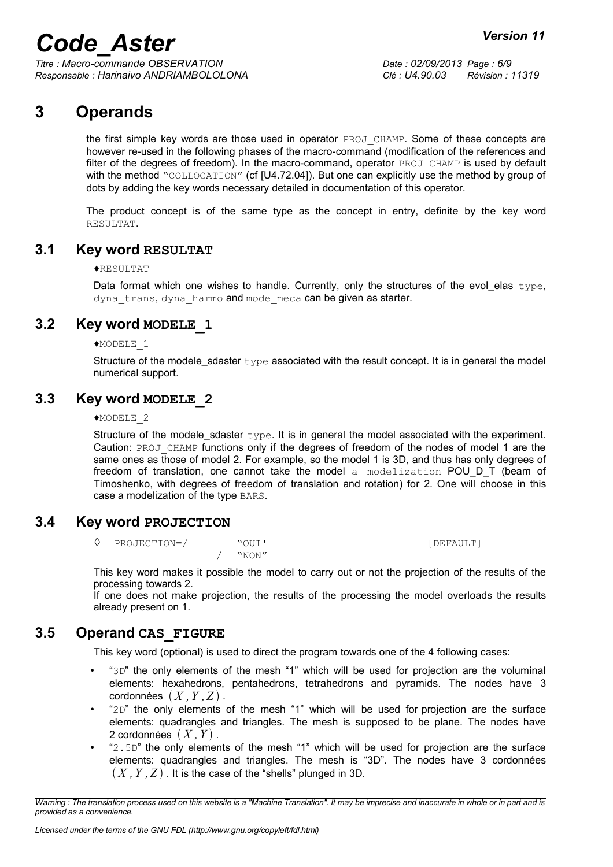*Titre : Macro-commande OBSERVATION Date : 02/09/2013 Page : 6/9 Responsable : Harinaivo ANDRIAMBOLOLONA Clé : U4.90.03 Révision : 11319*

#### **3 Operands**

<span id="page-5-5"></span>the first simple key words are those used in operator PROJ\_CHAMP. Some of these concepts are however re-used in the following phases of the macro-command (modification of the references and filter of the degrees of freedom). In the macro-command, operator PROJ CHAMP is used by default with the method "COLLOCATION" (cf [U4.72.04]). But one can explicitly use the method by group of dots by adding the key words necessary detailed in documentation of this operator.

The product concept is of the same type as the concept in entry, definite by the key word RESULTAT.

#### **3.1 Key word RESULTAT**

#### <span id="page-5-4"></span>♦RESULTAT

Data format which one wishes to handle. Currently, only the structures of the evol\_elas type, dyna trans, dyna harmo and mode meca can be given as starter.

#### **3.2 Key word MODELE\_1**

<span id="page-5-3"></span>♦MODELE\_1

Structure of the modele\_sdaster  $type$  associated with the result concept. It is in general the model numerical support.

#### **3.3 Key word MODELE\_2**

#### <span id="page-5-2"></span>♦MODELE\_2

Structure of the modele sdaster  $type$ . It is in general the model associated with the experiment. Caution: PROJ\_CHAMP functions only if the degrees of freedom of the nodes of model 1 are the same ones as those of model 2. For example, so the model 1 is 3D, and thus has only degrees of freedom of translation, one cannot take the model a modelization POU\_D\_T (beam of Timoshenko, with degrees of freedom of translation and rotation) for 2. One will choose in this case a modelization of the type BARS.

#### **3.4 Key word PROJECTION**

<span id="page-5-1"></span>◊ PROJECTION=/ "OUI' [DEFAULT] / "NON"

This key word makes it possible the model to carry out or not the projection of the results of the processing towards 2.

If one does not make projection, the results of the processing the model overloads the results already present on 1.

#### **3.5 Operand CAS\_FIGURE**

<span id="page-5-0"></span>This key word (optional) is used to direct the program towards one of the 4 following cases:

- "3D" the only elements of the mesh "1" which will be used for projection are the voluminal elements: hexahedrons, pentahedrons, tetrahedrons and pyramids. The nodes have 3  $cordonnées  $(X, Y, Z)$$ .
- "2D" the only elements of the mesh "1" which will be used for projection are the surface elements: quadrangles and triangles. The mesh is supposed to be plane. The nodes have 2 cordonnées  $(X, Y)$ .
- " $2.5D$ " the only elements of the mesh "1" which will be used for projection are the surface elements: quadrangles and triangles. The mesh is "3D". The nodes have 3 cordonnées  $(X, Y, Z)$ . It is the case of the "shells" plunged in 3D.

*Warning : The translation process used on this website is a "Machine Translation". It may be imprecise and inaccurate in whole or in part and is provided as a convenience.*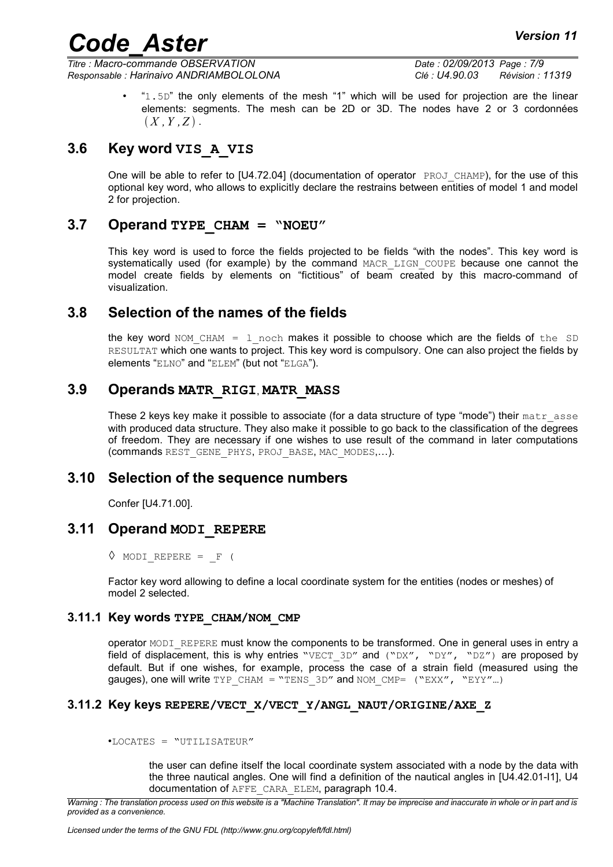*Titre : Macro-commande OBSERVATION Date : 02/09/2013 Page : 7/9 Responsable : Harinaivo ANDRIAMBOLOLONA Clé : U4.90.03 Révision : 11319*

• "1.5D" the only elements of the mesh "1" which will be used for projection are the linear elements: segments. The mesh can be 2D or 3D. The nodes have 2 or 3 cordonnées  $(X, Y, Z)$ .

#### **3.6 Key word VIS\_A\_VIS**

<span id="page-6-7"></span>One will be able to refer to  $[U4.72.04]$  (documentation of operator  $PROJCHAMP$ ), for the use of this optional key word, who allows to explicitly declare the restrains between entities of model 1 and model 2 for projection.

#### **3.7 Operand TYPE\_CHAM = "NOEU"**

<span id="page-6-6"></span>This key word is used to force the fields projected to be fields "with the nodes". This key word is systematically used (for example) by the command MACR LIGN COUPE because one cannot the model create fields by elements on "fictitious" of beam created by this macro-command of visualization.

#### **3.8 Selection of the names of the fields**

<span id="page-6-5"></span>the key word NOM CHAM = 1 noch makes it possible to choose which are the fields of the SD RESULTAT which one wants to project. This key word is compulsory. One can also project the fields by elements "ELNO" and "ELEM" (but not "ELGA").

#### **3.9 Operands MATR\_RIGI**, **MATR\_MASS**

<span id="page-6-4"></span>These 2 keys key make it possible to associate (for a data structure of type "mode") their  $\text{matr}$  asse with produced data structure. They also make it possible to go back to the classification of the degrees of freedom. They are necessary if one wishes to use result of the command in later computations (commands REST\_GENE\_PHYS, PROJ\_BASE, MAC\_MODES,…).

#### **3.10 Selection of the sequence numbers**

<span id="page-6-3"></span><span id="page-6-2"></span>Confer [U4.71.00].

#### **3.11 Operand MODI\_REPERE**

 $\Diamond$  MODI REPERE = F (

Factor key word allowing to define a local coordinate system for the entities (nodes or meshes) of model 2 selected.

#### **3.11.1 Key words TYPE\_CHAM/NOM\_CMP**

<span id="page-6-1"></span>operator MODI\_REPERE must know the components to be transformed. One in general uses in entry a field of displacement, this is why entries "VECT 3D" and ("DX", "DY", "DZ") are proposed by default. But if one wishes, for example, process the case of a strain field (measured using the gauges), one will write TYP\_CHAM = "TENS\_3D" and NOM\_CMP=  $("EXX", "EYY"...)$ 

#### **3.11.2 Key keys REPERE/VECT\_X/VECT\_Y/ANGL\_NAUT/ORIGINE/AXE\_Z**

<span id="page-6-0"></span>•LOCATES = "UTILISATEUR"

the user can define itself the local coordinate system associated with a node by the data with the three nautical angles. One will find a definition of the nautical angles in [U4.42.01-I1], U4 documentation of AFFE\_CARA\_ELEM, paragraph 10.4.

*Warning : The translation process used on this website is a "Machine Translation". It may be imprecise and inaccurate in whole or in part and is provided as a convenience.*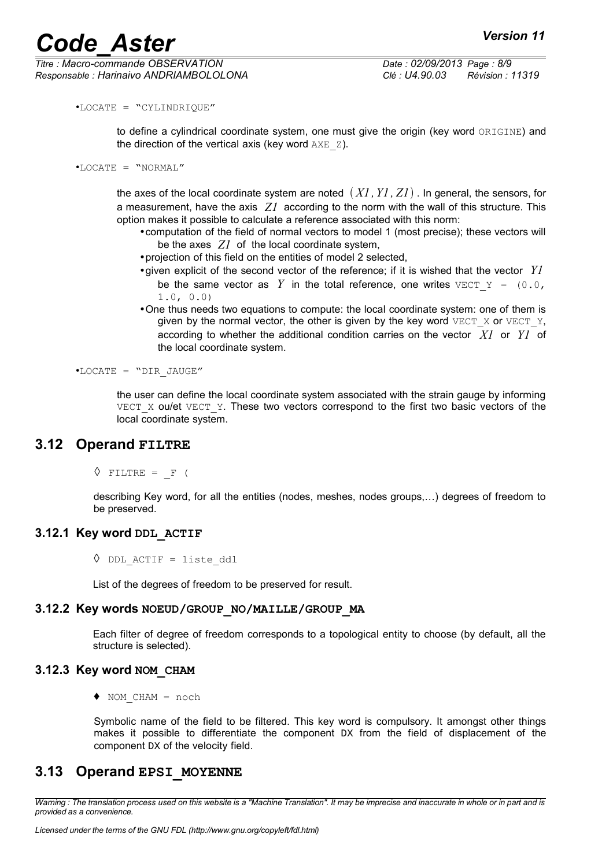•LOCATE = "CYLINDRIQUE"

to define a cylindrical coordinate system, one must give the origin (key word ORIGINE) and the direction of the vertical axis (key word  $AXE_Z$ ).

```
•LOCATE = "NORMAL"
```
the axes of the local coordinate system are noted *X1 ,Y1 , Z1* . In general, the sensors, for a measurement, have the axis *Z1* according to the norm with the wall of this structure. This option makes it possible to calculate a reference associated with this norm:

- •computation of the field of normal vectors to model 1 (most precise); these vectors will be the axes *Z1* of the local coordinate system,
- •projection of this field on the entities of model 2 selected,
- •given explicit of the second vector of the reference; if it is wished that the vector *Y1* be the same vector as Y in the total reference, one writes  $VETY = (0.0, 0.0)$ 1.0, 0.0)
- •One thus needs two equations to compute: the local coordinate system: one of them is given by the normal vector, the other is given by the key word  $VECT X$  or  $VECT Y$ , according to whether the additional condition carries on the vector *X1* or *Y1* of the local coordinate system.

•LOCATE = "DIR\_JAUGE"

the user can define the local coordinate system associated with the strain gauge by informing VECT  $X$  ou/et VECT  $Y$ . These two vectors correspond to the first two basic vectors of the local coordinate system.

#### **3.12 Operand FILTRE**

<span id="page-7-4"></span> $\Diamond$  FILTRE = F (

describing Key word, for all the entities (nodes, meshes, nodes groups,…) degrees of freedom to be preserved.

#### **3.12.1 Key word DDL\_ACTIF**

<span id="page-7-3"></span> $\Diamond$  DDL ACTIF = liste ddl

<span id="page-7-2"></span>List of the degrees of freedom to be preserved for result.

#### **3.12.2 Key words NOEUD/GROUP\_NO/MAILLE/GROUP\_MA**

Each filter of degree of freedom corresponds to a topological entity to choose (by default, all the structure is selected).

#### **3.12.3 Key word NOM\_CHAM**

<span id="page-7-1"></span>♦ NOM\_CHAM = noch

Symbolic name of the field to be filtered. This key word is compulsory. It amongst other things makes it possible to differentiate the component  $DX$  from the field of displacement of the component DX of the velocity field.

#### <span id="page-7-0"></span>**3.13 Operand EPSI\_MOYENNE**

*Warning : The translation process used on this website is a "Machine Translation". It may be imprecise and inaccurate in whole or in part and is provided as a convenience.*